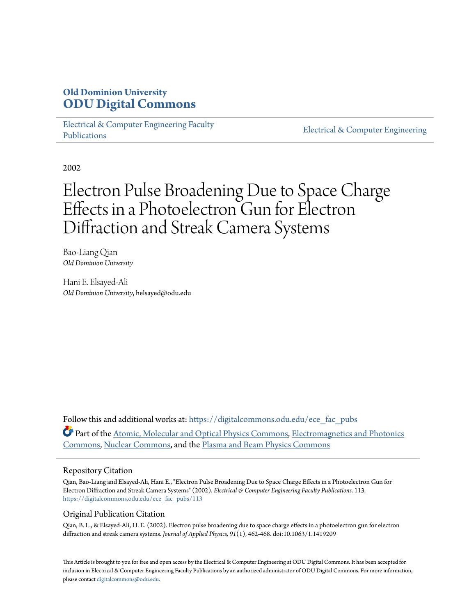# **Old Dominion University [ODU Digital Commons](https://digitalcommons.odu.edu?utm_source=digitalcommons.odu.edu%2Fece_fac_pubs%2F113&utm_medium=PDF&utm_campaign=PDFCoverPages)**

[Electrical & Computer Engineering Faculty](https://digitalcommons.odu.edu/ece_fac_pubs?utm_source=digitalcommons.odu.edu%2Fece_fac_pubs%2F113&utm_medium=PDF&utm_campaign=PDFCoverPages) [Publications](https://digitalcommons.odu.edu/ece_fac_pubs?utm_source=digitalcommons.odu.edu%2Fece_fac_pubs%2F113&utm_medium=PDF&utm_campaign=PDFCoverPages)

[Electrical & Computer Engineering](https://digitalcommons.odu.edu/ece?utm_source=digitalcommons.odu.edu%2Fece_fac_pubs%2F113&utm_medium=PDF&utm_campaign=PDFCoverPages)

2002

# Electron Pulse Broadening Due to Space Charge Effects in a Photoelectron Gun for Electron Diffraction and Streak Camera Systems

Bao-Liang Qian *Old Dominion University*

Hani E. Elsayed-Ali *Old Dominion University*, helsayed@odu.edu

Follow this and additional works at: [https://digitalcommons.odu.edu/ece\\_fac\\_pubs](https://digitalcommons.odu.edu/ece_fac_pubs?utm_source=digitalcommons.odu.edu%2Fece_fac_pubs%2F113&utm_medium=PDF&utm_campaign=PDFCoverPages) Part of the [Atomic, Molecular and Optical Physics Commons,](http://network.bepress.com/hgg/discipline/195?utm_source=digitalcommons.odu.edu%2Fece_fac_pubs%2F113&utm_medium=PDF&utm_campaign=PDFCoverPages) [Electromagnetics and Photonics](http://network.bepress.com/hgg/discipline/271?utm_source=digitalcommons.odu.edu%2Fece_fac_pubs%2F113&utm_medium=PDF&utm_campaign=PDFCoverPages) [Commons,](http://network.bepress.com/hgg/discipline/271?utm_source=digitalcommons.odu.edu%2Fece_fac_pubs%2F113&utm_medium=PDF&utm_campaign=PDFCoverPages) [Nuclear Commons](http://network.bepress.com/hgg/discipline/203?utm_source=digitalcommons.odu.edu%2Fece_fac_pubs%2F113&utm_medium=PDF&utm_campaign=PDFCoverPages), and the [Plasma and Beam Physics Commons](http://network.bepress.com/hgg/discipline/205?utm_source=digitalcommons.odu.edu%2Fece_fac_pubs%2F113&utm_medium=PDF&utm_campaign=PDFCoverPages)

## Repository Citation

Qian, Bao-Liang and Elsayed-Ali, Hani E., "Electron Pulse Broadening Due to Space Charge Effects in a Photoelectron Gun for Electron Diffraction and Streak Camera Systems" (2002). *Electrical & Computer Engineering Faculty Publications*. 113. [https://digitalcommons.odu.edu/ece\\_fac\\_pubs/113](https://digitalcommons.odu.edu/ece_fac_pubs/113?utm_source=digitalcommons.odu.edu%2Fece_fac_pubs%2F113&utm_medium=PDF&utm_campaign=PDFCoverPages)

## Original Publication Citation

Qian, B. L., & Elsayed-Ali, H. E. (2002). Electron pulse broadening due to space charge effects in a photoelectron gun for electron diffraction and streak camera systems. *Journal of Applied Physics, 91*(1), 462-468. doi:10.1063/1.1419209

This Article is brought to you for free and open access by the Electrical & Computer Engineering at ODU Digital Commons. It has been accepted for inclusion in Electrical & Computer Engineering Faculty Publications by an authorized administrator of ODU Digital Commons. For more information, please contact [digitalcommons@odu.edu](mailto:digitalcommons@odu.edu).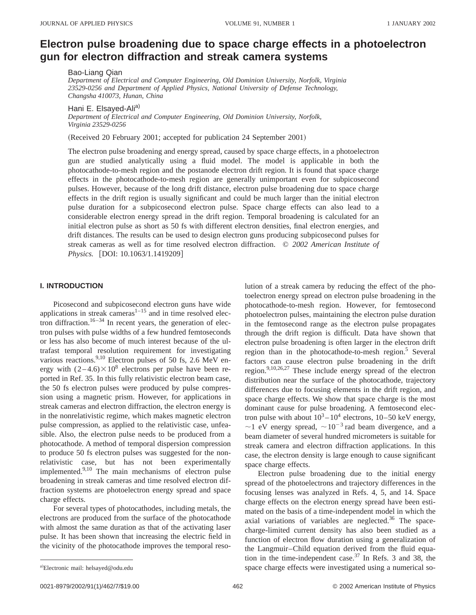# **Electron pulse broadening due to space charge effects in a photoelectron gun for electron diffraction and streak camera systems**

Bao-Liang Qian

*Department of Electrical and Computer Engineering, Old Dominion University, Norfolk, Virginia 23529-0256 and Department of Applied Physics, National University of Defense Technology, Changsha 410073, Hunan, China*

Hani E. Elsaved-Ali<sup>a)</sup>

*Department of Electrical and Computer Engineering, Old Dominion University, Norfolk, Virginia 23529-0256*

(Received 20 February 2001; accepted for publication 24 September 2001)

The electron pulse broadening and energy spread, caused by space charge effects, in a photoelectron gun are studied analytically using a fluid model. The model is applicable in both the photocathode-to-mesh region and the postanode electron drift region. It is found that space charge effects in the photocathode-to-mesh region are generally unimportant even for subpicosecond pulses. However, because of the long drift distance, electron pulse broadening due to space charge effects in the drift region is usually significant and could be much larger than the initial electron pulse duration for a subpicosecond electron pulse. Space charge effects can also lead to a considerable electron energy spread in the drift region. Temporal broadening is calculated for an initial electron pulse as short as 50 fs with different electron densities, final electron energies, and drift distances. The results can be used to design electron guns producing subpicosecond pulses for streak cameras as well as for time resolved electron diffraction. © *2002 American Institute of Physics.* [DOI: 10.1063/1.1419209]

#### **I. INTRODUCTION**

Picosecond and subpicosecond electron guns have wide applications in streak cameras $1-15$  and in time resolved electron diffraction.<sup>16–34</sup> In recent years, the generation of electron pulses with pulse widths of a few hundred femtoseconds or less has also become of much interest because of the ultrafast temporal resolution requirement for investigating various reactions.<sup>9,10</sup> Electron pulses of 50 fs, 2.6 MeV energy with  $(2-4.6)\times10^8$  electrons per pulse have been reported in Ref. 35. In this fully relativistic electron beam case, the 50 fs electron pulses were produced by pulse compression using a magnetic prism. However, for applications in streak cameras and electron diffraction, the electron energy is in the nonrelativistic regime, which makes magnetic electron pulse compression, as applied to the relativistic case, unfeasible. Also, the electron pulse needs to be produced from a photocathode. A method of temporal dispersion compression to produce 50 fs electron pulses was suggested for the nonrelativistic case, but has not been experimentally implemented.9,10 The main mechanisms of electron pulse broadening in streak cameras and time resolved electron diffraction systems are photoelectron energy spread and space charge effects.

For several types of photocathodes, including metals, the electrons are produced from the surface of the photocathode with almost the same duration as that of the activating laser pulse. It has been shown that increasing the electric field in the vicinity of the photocathode improves the temporal resolution of a streak camera by reducing the effect of the photoelectron energy spread on electron pulse broadening in the photocathode-to-mesh region. However, for femtosecond photoelectron pulses, maintaining the electron pulse duration in the femtosecond range as the electron pulse propagates through the drift region is difficult. Data have shown that electron pulse broadening is often larger in the electron drift region than in the photocathode-to-mesh region. $5$  Several factors can cause electron pulse broadening in the drift region.9,10,26,27 These include energy spread of the electron distribution near the surface of the photocathode, trajectory differences due to focusing elements in the drift region, and space charge effects. We show that space charge is the most dominant cause for pulse broadening. A femtosecond electron pulse with about  $10^3 - 10^4$  electrons, 10–50 keV energy,  $\sim$ 1 eV energy spread,  $\sim$ 10<sup>-3</sup> rad beam divergence, and a beam diameter of several hundred micrometers is suitable for streak camera and electron diffraction applications. In this case, the electron density is large enough to cause significant space charge effects.

Electron pulse broadening due to the initial energy spread of the photoelectrons and trajectory differences in the focusing lenses was analyzed in Refs. 4, 5, and 14. Space charge effects on the electron energy spread have been estimated on the basis of a time-independent model in which the axial variations of variables are neglected.<sup>36</sup> The spacecharge-limited current density has also been studied as a function of electron flow duration using a generalization of the Langmuir–Child equation derived from the fluid equation in the time-independent case. $37$  In Refs. 3 and 38, the space charge effects were investigated using a numerical so-

Electronic mail: helsayed@odu.edu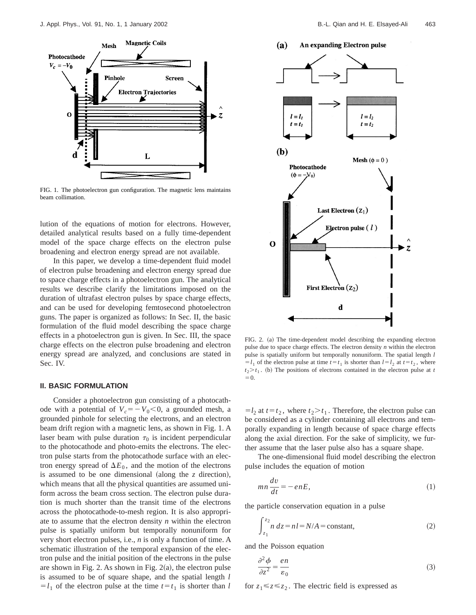

FIG. 1. The photoelectron gun configuration. The magnetic lens maintains beam collimation.

lution of the equations of motion for electrons. However, detailed analytical results based on a fully time-dependent model of the space charge effects on the electron pulse broadening and electron energy spread are not available.

In this paper, we develop a time-dependent fluid model of electron pulse broadening and electron energy spread due to space charge effects in a photoelectron gun. The analytical results we describe clarify the limitations imposed on the duration of ultrafast electron pulses by space charge effects, and can be used for developing femtosecond photoelectron guns. The paper is organized as follows: In Sec. II, the basic formulation of the fluid model describing the space charge effects in a photoelectron gun is given. In Sec. III, the space charge effects on the electron pulse broadening and electron energy spread are analyzed, and conclusions are stated in Sec. IV.

#### **II. BASIC FORMULATION**

Consider a photoelectron gun consisting of a photocathode with a potential of  $V_c = -V_0 < 0$ , a grounded mesh, a grounded pinhole for selecting the electrons, and an electron beam drift region with a magnetic lens, as shown in Fig. 1. A laser beam with pulse duration  $\tau_0$  is incident perpendicular to the photocathode and photo-emits the electrons. The electron pulse starts from the photocathode surface with an electron energy spread of  $\Delta E_0$ , and the motion of the electrons is assumed to be one dimensional (along the  $z$  direction), which means that all the physical quantities are assumed uniform across the beam cross section. The electron pulse duration is much shorter than the transit time of the electrons across the photocathode-to-mesh region. It is also appropriate to assume that the electron density *n* within the electron pulse is spatially uniform but temporally nonuniform for very short electron pulses, i.e., *n* is only a function of time. A schematic illustration of the temporal expansion of the electron pulse and the initial position of the electrons in the pulse are shown in Fig. 2. As shown in Fig.  $2(a)$ , the electron pulse is assumed to be of square shape, and the spatial length *l*  $= l_1$  of the electron pulse at the time  $t = t_1$  is shorter than *l* 



FIG. 2. (a) The time-dependent model describing the expanding electron pulse due to space charge effects. The electron density *n* within the electron pulse is spatially uniform but temporally nonuniform. The spatial length *l*  $=$ *l*<sub>1</sub> of the electron pulse at time  $t=t_1$  is shorter than  $l=l_2$  at  $t=t_2$ , where  $t_2 > t_1$ . (b) The positions of electrons contained in the electron pulse at *t*  $=0.$ 

 $=$ *l*<sub>2</sub> at *t* = *t*<sub>2</sub>, where *t*<sub>2</sub>>*t*<sub>1</sub>. Therefore, the electron pulse can be considered as a cylinder containing all electrons and temporally expanding in length because of space charge effects along the axial direction. For the sake of simplicity, we further assume that the laser pulse also has a square shape.

The one-dimensional fluid model describing the electron pulse includes the equation of motion

$$
mn\frac{dv}{dt} = -enE,\tag{1}
$$

the particle conservation equation in a pulse

$$
\int_{z_1}^{z_2} n \, dz = n \, l = N/A = \text{constant},\tag{2}
$$

and the Poisson equation

$$
\frac{\partial^2 \phi}{\partial z^2} = \frac{en}{\varepsilon_0} \tag{3}
$$

for  $z_1 \le z \le z_2$ . The electric field is expressed as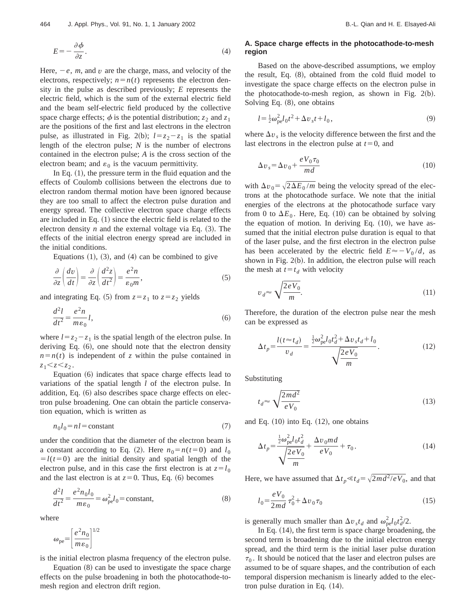$$
E = -\frac{\partial \phi}{\partial z}.
$$
\n<sup>(4)</sup>

Here,  $-e$ , *m*, and *v* are the charge, mass, and velocity of the electrons, respectively;  $n = n(t)$  represents the electron density in the pulse as described previously; *E* represents the electric field, which is the sum of the external electric field and the beam self-electric field produced by the collective space charge effects;  $\phi$  is the potential distribution;  $z_2$  and  $z_1$ are the positions of the first and last electrons in the electron pulse, as illustrated in Fig. 2(b);  $l=z_2-z_1$  is the spatial length of the electron pulse; *N* is the number of electrons contained in the electron pulse; *A* is the cross section of the electron beam; and  $\varepsilon_0$  is the vacuum permittivity.

In Eq.  $(1)$ , the pressure term in the fluid equation and the effects of Coulomb collisions between the electrons due to electron random thermal motion have been ignored because they are too small to affect the electron pulse duration and energy spread. The collective electron space charge effects are included in Eq.  $(1)$  since the electric field is related to the electron density  $n$  and the external voltage via Eq.  $(3)$ . The effects of the initial electron energy spread are included in the initial conditions.

Equations  $(1)$ ,  $(3)$ , and  $(4)$  can be combined to give

$$
\frac{\partial}{\partial z} \left( \frac{dv}{dt} \right) = \frac{\partial}{\partial z} \left( \frac{d^2 z}{dt^2} \right) = \frac{e^2 n}{\varepsilon_0 m},\tag{5}
$$

and integrating Eq. (5) from  $z=z_1$  to  $z=z_2$  yields

$$
\frac{d^2l}{dt^2} = \frac{e^2n}{me_0}l,\tag{6}
$$

where  $l = z_2 - z_1$  is the spatial length of the electron pulse. In deriving Eq.  $(6)$ , one should note that the electron density  $n = n(t)$  is independent of *z* within the pulse contained in  $z_1$ <sup> $\lt$ </sup> $z$ <sup> $\lt$ </sup> $z_2$ .

Equation  $(6)$  indicates that space charge effects lead to variations of the spatial length *l* of the electron pulse. In addition, Eq.  $(6)$  also describes space charge effects on electron pulse broadening. One can obtain the particle conservation equation, which is written as

$$
n_0 l_0 = n l = \text{constant} \tag{7}
$$

under the condition that the diameter of the electron beam is a constant according to Eq. (2). Here  $n_0 = n(t=0)$  and  $l_0$  $= l(t=0)$  are the initial density and spatial length of the electron pulse, and in this case the first electron is at  $z = l_0$ and the last electron is at  $z=0$ . Thus, Eq.  $(6)$  becomes

$$
\frac{d^2l}{dt^2} = \frac{e^2n_0l_0}{m\epsilon_0} = \omega_{\text{pe}}^2l_0 = \text{constant},\tag{8}
$$

where

 $\omega_{pe}$ =  $e^2n_0$  $\left[\frac{m_0}{m\varepsilon_0}\right]$ 1/2

is the initial electron plasma frequency of the electron pulse.

Equation  $(8)$  can be used to investigate the space charge effects on the pulse broadening in both the photocathode-tomesh region and electron drift region.

### **A. Space charge effects in the photocathode-to-mesh region**

Based on the above-described assumptions, we employ the result, Eq.  $(8)$ , obtained from the cold fluid model to investigate the space charge effects on the electron pulse in the photocathode-to-mesh region, as shown in Fig.  $2(b)$ . Solving Eq.  $(8)$ , one obtains

$$
l = \frac{1}{2}\omega_{\rm pe}^2 l_0 t^2 + \Delta v_s t + l_0,\tag{9}
$$

where  $\Delta v_s$  is the velocity difference between the first and the last electrons in the electron pulse at  $t=0$ , and

$$
\Delta v_s = \Delta v_0 + \frac{eV_0 \tau_0}{md} \tag{10}
$$

with  $\Delta v_0 = \sqrt{2\Delta E_0 / m}$  being the velocity spread of the electrons at the photocathode surface. We note that the initial energies of the electrons at the photocathode surface vary from 0 to  $\Delta E_0$ . Here, Eq. (10) can be obtained by solving the equation of motion. In deriving Eq.  $(10)$ , we have assumed that the initial electron pulse duration is equal to that of the laser pulse, and the first electron in the electron pulse has been accelerated by the electric field  $E \approx -V_0 / d$ , as shown in Fig.  $2(b)$ . In addition, the electron pulse will reach the mesh at  $t = t_d$  with velocity

$$
v_d \approx \sqrt{\frac{2\,e\,V_0}{m}}.\tag{11}
$$

Therefore, the duration of the electron pulse near the mesh can be expressed as

$$
\Delta t_p = \frac{l(t \approx t_d)}{v_d} = \frac{\frac{1}{2}\omega_{\rm pe}^2 l_0 t_d^2 + \Delta v_s t_d + l_0}{\sqrt{\frac{2eV_0}{m}}}.
$$
\n(12)

Substituting

$$
t_d \approx \sqrt{\frac{2md^2}{eV_0}}\tag{13}
$$

and Eq.  $(10)$  into Eq.  $(12)$ , one obtains

$$
\Delta t_p = \frac{\frac{1}{2}\omega_{pe}^2 l_0 t_d^2}{\sqrt{\frac{2eV_0}{m}}} + \frac{\Delta v_0 md}{eV_0} + \tau_0.
$$
\n(14)

Here, we have assumed that  $\Delta t_p \ll t_d = \sqrt{2md^2/eV_0}$ , and that

$$
l_0 = \frac{eV_0}{2md}\tau_0^2 + \Delta v_0 \tau_0
$$
\n(15)

is generally much smaller than  $\Delta v_s t_d$  and  $\omega_{pe}^2 l_0 t_d^2/2$ .

In Eq.  $(14)$ , the first term is space charge broadening, the second term is broadening due to the initial electron energy spread, and the third term is the initial laser pulse duration  $\tau_0$ . It should be noticed that the laser and electron pulses are assumed to be of square shapes, and the contribution of each temporal dispersion mechanism is linearly added to the electron pulse duration in Eq.  $(14)$ .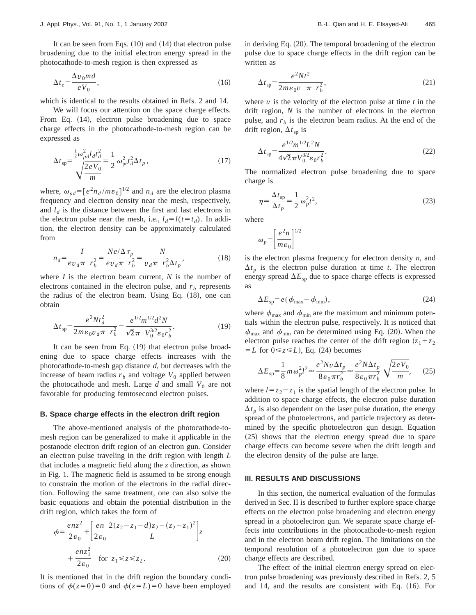It can be seen from Eqs.  $(10)$  and  $(14)$  that electron pulse broadening due to the initial electron energy spread in the photocathode-to-mesh region is then expressed as

$$
\Delta t_e = \frac{\Delta v_0 m d}{eV_0},\tag{16}
$$

which is identical to the results obtained in Refs. 2 and 14.

We will focus our attention on the space charge effects. From Eq. (14), electron pulse broadening due to space charge effects in the photocathode-to-mesh region can be expressed as

$$
\Delta t_{sp} = \frac{\frac{1}{2} \omega_{pd}^2 l_d t_d^2}{\sqrt{\frac{2eV_0}{m}}} = \frac{1}{2} \omega_{pe}^2 t_d^2 \Delta t_p,
$$
\n(17)

where,  $\omega_{pd} = [e^2 n_d / m \epsilon_0]^{1/2}$  and  $n_d$  are the electron plasma frequency and electron density near the mesh, respectively, and  $l_d$  is the distance between the first and last electrons in the electron pulse near the mesh, i.e.,  $l_d = l(t = t_d)$ . In addition, the electron density can be approximately calculated from

$$
n_d = \frac{I}{e v_d \pi r_h^2} = \frac{Ne/\Delta \tau_p}{e v_d \pi r_h^2} = \frac{N}{v_d \pi r_h^2 \Delta t_p},
$$
(18)

where *I* is the electron beam current, *N* is the number of electrons contained in the electron pulse, and  $r<sub>b</sub>$  represents the radius of the electron beam. Using Eq.  $(18)$ , one can obtain

$$
\Delta t_{sp} = \frac{e^2 N t_d^2}{2m \epsilon_0 v_d \pi r_b^2} = \frac{e^{1/2} m^{1/2} d^2 N}{\sqrt{2} \pi V_0^{3/2} \epsilon_0 r_b^2}.
$$
(19)

It can be seen from Eq.  $(19)$  that electron pulse broadening due to space charge effects increases with the photocathode-to-mesh gap distance *d*, but decreases with the increase of beam radius  $r_b$  and voltage  $V_0$  applied between the photocathode and mesh. Large  $d$  and small  $V_0$  are not favorable for producing femtosecond electron pulses.

#### **B. Space charge effects in the electron drift region**

The above-mentioned analysis of the photocathode-tomesh region can be generalized to make it applicable in the postanode electron drift region of an electron gun. Consider an electron pulse traveling in the drift region with length *L* that includes a magnetic field along the *z* direction, as shown in Fig. 1. The magnetic field is assumed to be strong enough to constrain the motion of the electrons in the radial direction. Following the same treatment, one can also solve the basic equations and obtain the potential distribution in the drift region, which takes the form of

$$
\phi = \frac{enz^2}{2\varepsilon_0} + \left[ \frac{en}{2\varepsilon_0} \frac{2(z_2 - z_1 - d)z_2 - (z_2 - z_1)^2}{L} \right] z
$$
  
+ 
$$
\frac{enz_1^2}{2\varepsilon_0} \quad \text{for } z_1 \le z \le z_2.
$$
 (20)

It is mentioned that in the drift region the boundary conditions of  $\phi(z=0)=0$  and  $\phi(z=L)=0$  have been employed in deriving Eq. (20). The temporal broadening of the electron pulse due to space charge effects in the drift region can be written as

$$
\Delta t_{sp} = \frac{e^2 N t^2}{2m \epsilon_0 v \pi r_b^2},\tag{21}
$$

where  $v$  is the velocity of the electron pulse at time  $t$  in the drift region, *N* is the number of electrons in the electron pulse, and  $r_b$  is the electron beam radius. At the end of the drift region,  $\Delta t_{sp}$  is

$$
\Delta t_{sp} = \frac{e^{1/2} m^{1/2} L^2 N}{4\sqrt{2} \pi V_0^{3/2} \epsilon_0 r_b^2}.
$$
\n(22)

The normalized electron pulse broadening due to space charge is

$$
\eta = \frac{\Delta t_{sp}}{\Delta t_p} = \frac{1}{2} \omega_p^2 t^2,\tag{23}
$$

where

$$
\omega_p = \left[\frac{e^2 n}{m \epsilon_0}\right]^{1/2}
$$

is the electron plasma frequency for electron density *n*, and  $\Delta t_p$  is the electron pulse duration at time *t*. The electron energy spread  $\Delta E_{sp}$  due to space charge effects is expressed as

$$
\Delta E_{\rm sp} = e(\phi_{\rm max} - \phi_{\rm min}),\tag{24}
$$

where  $\phi_{\text{max}}$  and  $\phi_{\text{min}}$  are the maximum and minimum potentials within the electron pulse, respectively. It is noticed that  $\phi_{\text{max}}$  and  $\phi_{\text{min}}$  can be determined using Eq. (20). When the electron pulse reaches the center of the drift region  $(z_1 + z_2)$  $= L$  for  $0 \le z \le L$ ), Eq. (24) becomes

$$
\Delta E_{\rm sp} = \frac{1}{8} m \omega_p^2 l^2 \approx \frac{e^2 N v \Delta t_p}{8 \epsilon_0 \pi r_b^2} \approx \frac{e^2 N \Delta t_p}{8 \epsilon_0 \pi r_b^2} \sqrt{\frac{2 e V_0}{m}},\qquad(25)
$$

where  $l = z_2 - z_1$  is the spatial length of the electron pulse. In addition to space charge effects, the electron pulse duration  $\Delta t$ <sub>p</sub> is also dependent on the laser pulse duration, the energy spread of the photoelectrons, and particle trajectory as determined by the specific photoelectron gun design. Equation  $(25)$  shows that the electron energy spread due to space charge effects can become severe when the drift length and the electron density of the pulse are large.

#### **III. RESULTS AND DISCUSSIONS**

In this section, the numerical evaluation of the formulas derived in Sec. II is described to further explore space charge effects on the electron pulse broadening and electron energy spread in a photoelectron gun. We separate space charge effects into contributions in the photocathode-to-mesh region and in the electron beam drift region. The limitations on the temporal resolution of a photoelectron gun due to space charge effects are described.

The effect of the initial electron energy spread on electron pulse broadening was previously described in Refs. 2, 5 and 14, and the results are consistent with Eq.  $(16)$ . For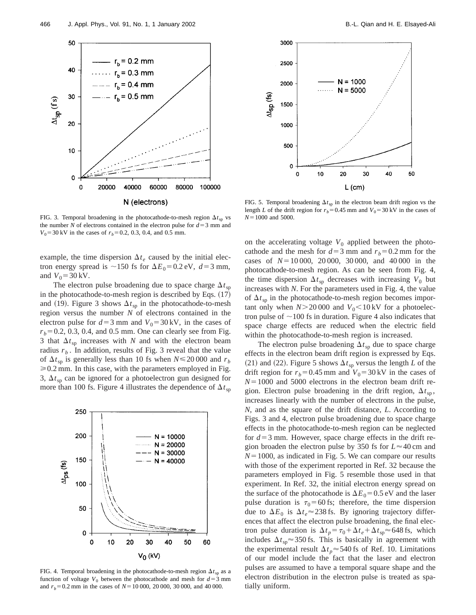

FIG. 3. Temporal broadening in the photocathode-to-mesh region  $\Delta t_{sp}$  vs the number *N* of electrons contained in the electron pulse for  $d=3$  mm and  $V_0$ =30 kV in the cases of  $r_b$ =0.2, 0.3, 0.4, and 0.5 mm.

example, the time dispersion  $\Delta t_e$  caused by the initial electron energy spread is  $\sim$ 150 fs for  $\Delta E_0$ =0.2 eV, *d*=3 mm, and  $V_0 = 30 \text{ kV}$ .

The electron pulse broadening due to space charge  $\Delta t_{sp}$ in the photocathode-to-mesh region is described by Eqs.  $(17)$ and (19). Figure 3 shows  $\Delta t_{sp}$  in the photocathode-to-mesh region versus the number *N* of electrons contained in the electron pulse for  $d=3$  mm and  $V_0=30$  kV, in the cases of  $r<sub>b</sub>=0.2, 0.3, 0.4,$  and 0.5 mm. One can clearly see from Fig. 3 that  $\Delta t_{sp}$  increases with *N* and with the electron beam radius  $r_b$ . In addition, results of Fig. 3 reveal that the value of  $\Delta t$ <sub>sp</sub> is generally less than 10 fs when  $N \le 20000$  and  $r_b$  $\geq 0.2$  mm. In this case, with the parameters employed in Fig. 3,  $\Delta t_{\rm{sp}}$  can be ignored for a photoelectron gun designed for more than 100 fs. Figure 4 illustrates the dependence of  $\Delta t_{sp}$ 



FIG. 4. Temporal broadening in the photocathode-to-mesh region  $\Delta t_{\rm{sp}}$  as a function of voltage  $V_0$  between the photocathode and mesh for  $d=3$  mm and  $r_b = 0.2$  mm in the cases of  $N = 10,000, 20,000, 30,000,$  and 40,000.



FIG. 5. Temporal broadening  $\Delta t_{\rm{sp}}$  in the electron beam drift region vs the length *L* of the drift region for  $r_b = 0.45$  mm and  $V_0 = 30$  kV in the cases of  $N = 1000$  and 5000.

on the accelerating voltage  $V_0$  applied between the photocathode and the mesh for  $d=3$  mm and  $r_b=0.2$  mm for the cases of  $N=10000$ , 20000, 30000, and 40000 in the photocathode-to-mesh region. As can be seen from Fig. 4, the time dispersion  $\Delta t_{\rm{sp}}$  decreases with increasing  $V_0$  but increases with *N*. For the parameters used in Fig. 4, the value of  $\Delta t_{sp}$  in the photocathode-to-mesh region becomes important only when  $N > 20000$  and  $V_0 < 10$  kV for a photoelectron pulse of  $\sim$ 100 fs in duration. Figure 4 also indicates that space charge effects are reduced when the electric field within the photocathode-to-mesh region is increased.

The electron pulse broadening  $\Delta t_{sp}$  due to space charge effects in the electron beam drift region is expressed by Eqs. (21) and (22). Figure 5 shows  $\Delta t_{sp}$  versus the length *L* of the drift region for  $r_b=0.45$  mm and  $V_0=30$  kV in the cases of  $N = 1000$  and 5000 electrons in the electron beam drift region. Electron pulse broadening in the drift region,  $\Delta t_{\rm{sn}}$ , increases linearly with the number of electrons in the pulse, *N*, and as the square of the drift distance, *L*. According to Figs. 3 and 4, electron pulse broadening due to space charge effects in the photocathode-to-mesh region can be neglected for  $d=3$  mm. However, space charge effects in the drift region broaden the electron pulse by 350 fs for  $L \approx 40$  cm and  $N=1000$ , as indicated in Fig. 5. We can compare our results with those of the experiment reported in Ref. 32 because the parameters employed in Fig. 5 resemble those used in that experiment. In Ref. 32, the initial electron energy spread on the surface of the photocathode is  $\Delta E_0 = 0.5$  eV and the laser pulse duration is  $\tau_0$  = 60 fs; therefore, the time dispersion due to  $\Delta E_0$  is  $\Delta t_e \approx 238$  fs. By ignoring trajectory differences that affect the electron pulse broadening, the final electron pulse duration is  $\Delta t_p = \tau_0 + \Delta t_e + \Delta t_{sp} \approx 648$  fs, which includes  $\Delta t_{\rm{sp}} \approx 350$  fs. This is basically in agreement with the experimental result  $\Delta t_p \approx 540$  fs of Ref. 10. Limitations of our model include the fact that the laser and electron pulses are assumed to have a temporal square shape and the electron distribution in the electron pulse is treated as spatially uniform.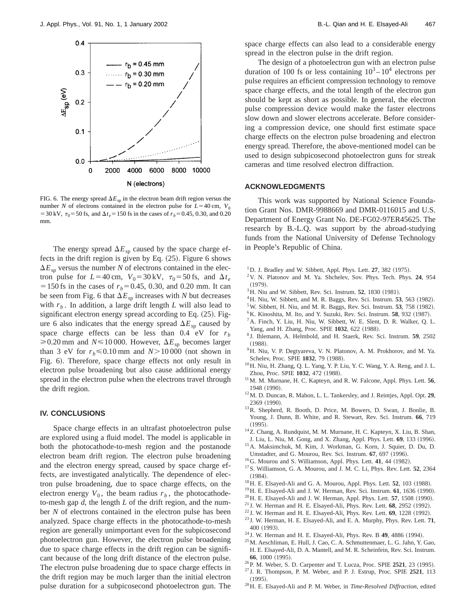

FIG. 6. The energy spread  $\Delta E_{\text{sp}}$  in the electron beam drift region versus the number *N* of electrons contained in the electron pulse for  $L=40$  cm,  $V_0$ = 30 kV,  $\tau_0$  = 50 fs, and  $\Delta t_e$  = 150 fs in the cases of  $r_b$  = 0.45, 0.30, and 0.20 mm.

The energy spread  $\Delta E_{sp}$  caused by the space charge effects in the drift region is given by Eq.  $(25)$ . Figure 6 shows  $\Delta E_{\rm SD}$  versus the number *N* of electrons contained in the electron pulse for  $L=40$  cm,  $V_0=30$  kV,  $\tau_0=50$  fs, and  $\Delta t_e$  $=150$  fs in the cases of  $r_b=0.45$ , 0.30, and 0.20 mm. It can be seen from Fig. 6 that  $\Delta E_{\rm SD}$  increases with *N* but decreases with  $r<sub>b</sub>$ . In addition, a large drift length *L* will also lead to significant electron energy spread according to Eq.  $(25)$ . Figure 6 also indicates that the energy spread  $\Delta E_{\rm sp}$  caused by space charge effects can be less than  $0.4 \text{ eV}$  for  $r_b$  $\geq 0.20$  mm and *N*  $\leq 10000$ . However,  $\Delta E_{sp}$  becomes larger than 3 eV for  $r_b \le 0.10$  mm and  $N > 10000$  (not shown in Fig. 6). Therefore, space charge effects not only result in electron pulse broadening but also cause additional energy spread in the electron pulse when the electrons travel through the drift region.

#### **IV. CONCLUSIONS**

Space charge effects in an ultrafast photoelectron pulse are explored using a fluid model. The model is applicable in both the photocathode-to-mesh region and the postanode electron beam drift region. The electron pulse broadening and the electron energy spread, caused by space charge effects, are investigated analytically. The dependence of electron pulse broadening, due to space charge effects, on the electron energy  $V_0$ , the beam radius  $r_b$ , the photocathodeto-mesh gap *d*, the length *L* of the drift region, and the number *N* of electrons contained in the electron pulse has been analyzed. Space charge effects in the photocathode-to-mesh region are generally unimportant even for the subpicosecond photoelectron gun. However, the electron pulse broadening due to space charge effects in the drift region can be significant because of the long drift distance of the electron pulse. The electron pulse broadening due to space charge effects in the drift region may be much larger than the initial electron pulse duration for a subpicosecond photoelectron gun. The space charge effects can also lead to a considerable energy spread in the electron pulse in the drift region.

The design of a photoelectron gun with an electron pulse duration of 100 fs or less containing  $10^3 - 10^4$  electrons per pulse requires an efficient compression technology to remove space charge effects, and the total length of the electron gun should be kept as short as possible. In general, the electron pulse compression device would make the faster electrons slow down and slower electrons accelerate. Before considering a compression device, one should first estimate space charge effects on the electron pulse broadening and electron energy spread. Therefore, the above-mentioned model can be used to design subpicosecond photoelectron guns for streak cameras and time resolved electron diffraction.

#### **ACKNOWLEDGMENTS**

This work was supported by National Science Foundation Grant Nos. DMR-9988669 and DMR-0116015 and U.S. Department of Energy Grant No. DE-FG02-97ER45625. The research by B.-L.Q. was support by the abroad-studying funds from the National University of Defense Technology in People's Republic of China.

- $1$  D. J. Bradley and W. Sibbett, Appl. Phys. Lett.  $27$ ,  $382$  (1975).
- 2V. N. Platonov and M. Ya. Shchelev, Sov. Phys. Tech. Phys. **24**, 954  $(1979).$
- $3$  H. Niu and W. Sibbett, Rev. Sci. Instrum. **52**, 1830  $(1981)$ .
- ${}^{4}$ H. Niu, W. Sibbett, and M. R. Baggs, Rev. Sci. Instrum. **53**, 563 (1982).
- <sup>5</sup>W. Sibbett, H. Niu, and M. R. Baggs, Rev. Sci. Instrum. **53**, 758 (1982).
- <sup>6</sup>K. Kinoshita, M. Ito, and Y. Suzuki, Rev. Sci. Instrum. **58**, 932 (1987).
- ${}^{7}$ A. Finch, Y. Liu, H. Niu, W. Sibbett, W. E. Slent, D. R. Walker, Q. L. Yang, and H. Zhang, Proc. SPIE 1032, 622 (1988).
- <sup>8</sup> J. Ihlemann, A. Helmbold, and H. Staerk, Rev. Sci. Instrum. **59**, 2502  $(1988).$
- <sup>9</sup>H. Niu, V. P. Degtyareva, V. N. Platonov, A. M. Prokhorov, and M. Ya. Schelev, Proc. SPIE 1032, 79 (1988).
- 10H. Niu, H. Zhang, Q. L. Yang, Y. P. Liu, Y. C. Wang, Y. A. Reng, and J. L. Zhou, Proc. SPIE 1032, 472 (1988).
- <sup>11</sup> M. M. Murnane, H. C. Kapteyn, and R. W. Falcone, Appl. Phys. Lett. 56, 1948 (1990).
- 12M. D. Duncan, R. Mahon, L. L. Tankersley, and J. Reintjes, Appl. Opt. **29**, 2369 (1990).
- 13R. Shepherd, R. Booth, D. Price, M. Bowers, D. Swan, J. Bonlie, B. Young, J. Dunn, B. White, and R. Stewart, Rev. Sci. Instrum. **66**, 719  $(1995).$
- 14Z. Chang, A. Rundquist, M. M. Murnane, H. C. Kapteyn, X. Liu, B. Shan, J. Liu, L. Niu, M. Gong, and X. Zhang, Appl. Phys. Lett. 69, 133 (1996).
- 15A. Maksimchuk, M. Kim, J. Workman, G. Korn, J. Squier, D. Du, D. Umstadter, and G. Mourou, Rev. Sci. Instrum. **67**, 697 (1996).
- <sup>16</sup>G. Mourou and S. Williamson, Appl. Phys. Lett. **41**, 44 (1982).
- 17S. Williamson, G. A. Mourou, and J. M. C. Li, Phys. Rev. Lett. **52**, 2364  $(1984).$
- <sup>18</sup>H. E. Elsayed-Ali and G. A. Mourou, Appl. Phys. Lett. **52**, 103 (1988).
- <sup>19</sup> H. E. Elsayed-Ali and J. W. Herman, Rev. Sci. Instrum. **61**, 1636 (1990).
- <sup>20</sup> H. E. Elsayed-Ali and J. W. Herman, Appl. Phys. Lett. **57**, 1508 (1990).
- $21$  J. W. Herman and H. E. Elsayed-Ali, Phys. Rev. Lett.  $68$ , 2952 (1992).
- $22$  J. W. Herman and H. E. Elsayed-Ali, Phys. Rev. Lett.  $69$ , 1228 (1992).
- <sup>23</sup> J. W. Herman, H. E. Elsayed-Ali, and E. A. Murphy, Phys. Rev. Lett. **71**, 400 (1993).
- $^{24}$  J. W. Herman and H. E. Elsayed-Ali, Phys. Rev. B 49, 4886 (1994).
- 25M. Aeschliman, E. Hull, J. Cao, C. A. Schmuttenmaer, L. G. Jahn, Y. Gao, H. E. Elsayed-Ali, D. A. Mantell, and M. R. Scheinfein, Rev. Sci. Instrum. 66, 1000 (1995).
- <sup>26</sup> P. M. Weber, S. D. Carpenter and T. Lucza, Proc. SPIE **2521**, 23 (1995).
- <sup>27</sup> J. R. Thompson, P. M. Weber, and P. J. Estrup, Proc. SPIE **2521**, 113  $(1995)$ .
- 28H. E. Elsayed-Ali and P. M. Weber, in *Time-Resolved Diffraction*, edited